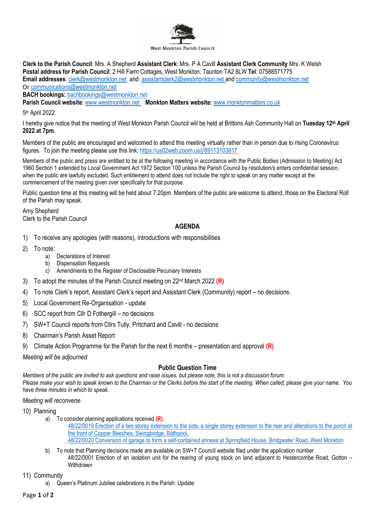

**Clerk to the Parish Council**: Mrs. A Shepherd **Assistant Clerk**: Mrs. P A Cavill **Assistant Clerk Community** Mrs. K Welsh **Postal address for Parish Council**: 2 Hill Farm Cottages, West Monkton, Taunton TA2 8LW **Tel**: 07588571775 **Email addresses**: [clerk@westmonkton.net](mailto:clerk@westmonkton.net) and [assistantclerk2@westmonkton.net](mailto:assistantclerk2@westmonkton.net) an[d community@westmonkton.net](mailto:community@westmonkton.net) Or [communications@westmonkton.net](mailto:communications@westmonkton.net)

**BACH bookings:** [bachbookings@westmonkton.net](mailto:bachbookings@westmonkton.net)

**Parish Council website**: [www.westmonkton.net](http://www.westmonkton.net/) **Monkton Matters website:** [www.monktonmatters.co.uk](http://www.monktonmatters.co.uk/)

5 th April 2022

I hereby give notice that the meeting of West Monkton Parish Council will be held at Brittons Ash Community Hall on **Tuesday 12th April 2022 at 7pm.**

Members of the public are encouraged and welcomed to attend this meeting virtually rather than in person due to rising Coronavirus figures. To join the meeting please use this link:<https://us02web.zoom.us/j/89113103817>

Members of the public and press are entitled to be at the following meeting in accordance with the Public Bodies (Admission to Meeting) Act 1960 Section 1 extended by Local Government Act 1972 Section 100 unless the Parish Council by resolution/s enters confidential session, when the public are lawfully excluded. Such entitlement to attend does not include the right to speak on any matter except at the commencement of the meeting given over specifically for that purpose.

Public question time at this meeting will be held about 7.20pm. Members of the public are welcome to attend, those on the Electoral Roll of the Parish may speak.

Amy Shepherd Clerk to the Parish Council

## **AGENDA**

- 1) To receive any apologies (with reasons), introductions with responsibilities
- 2) To note:
	- a) Declarations of Interest
	- b) Dispensation Requests
	- c) Amendments to the Register of Disclosable Pecuniary Interests
- 3) To adopt the minutes of the Parish Council meeting on 22 nd March 2022 **(R)**
- 4) To note Clerk's report, Assistant Clerk's report and Assistant Clerk (Community) report no decisions.
- 5) Local Government Re-Organisation update
- 6) SCC report from Cllr D Fothergill no decisions
- 7) SW+T Council reports from Cllrs Tully, Pritchard and Cavill no decisions
- 8) Chairman's Parish Asset Report
- 9) Climate Action Programme for the Parish for the next 6 months presentation and approval **(R)**

*Meeting will be adjourned*

## **Public Question Time**

*Members of the public are invited to ask questions and raise issues, but please note, this is not a discussion forum. Please make your wish to speak known to the Chairman or the Clerks before the start of the meeting. When called, please give your name. You have three minutes in which to speak.*

*Meeting will reconvene*

10) Planning

a) To consider planning applications received **(R)**

[48/22/0019 Erection of a two storey extension to the side, a single storey extension to the rear and alterations to the porch](https://www3.somersetwestandtaunton.gov.uk/asp/webpages/plan/PlAppDets.asp?casefullref=48/22/0019&QC=g6XC1) at [the front of Copper Beeches, Swingbridge, Bathpool.](https://www3.somersetwestandtaunton.gov.uk/asp/webpages/plan/PlAppDets.asp?casefullref=48/22/0019&QC=g6XC1) [48/22/0020 Conversion of garage to form a self-contained annexe at Springfield House, Bridgwater Road, West Monkton](https://www3.somersetwestandtaunton.gov.uk/asp/webpages/plan/PlAppDets.asp?casefullref=48/22/0020&QC=g6XC1)

b) To note that Planning decisions made are available on SW+T Council website filed under the application number 48/22/0001 Erection of an isolation unit for the rearing of young stock on land adjacent to Hestercombe Road, Gotton – **Withdrawn** 

11) Community

a) Queen's Platinum Jubilee celebrations in the Parish: Update